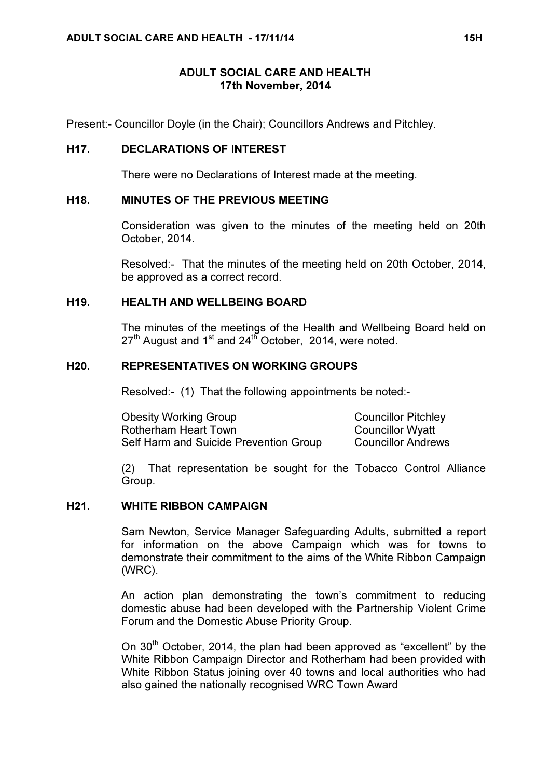## ADULT SOCIAL CARE AND HEALTH 17th November, 2014

Present:- Councillor Doyle (in the Chair); Councillors Andrews and Pitchley.

## H17. DECLARATIONS OF INTEREST

There were no Declarations of Interest made at the meeting.

## H18. MINUTES OF THE PREVIOUS MEETING

 Consideration was given to the minutes of the meeting held on 20th October, 2014.

Resolved:- That the minutes of the meeting held on 20th October, 2014, be approved as a correct record.

### H19. HEALTH AND WELLBEING BOARD

 The minutes of the meetings of the Health and Wellbeing Board held on  $27<sup>th</sup>$  August and 1<sup>st</sup> and 24<sup>th</sup> October, 2014, were noted.

### H20. REPRESENTATIVES ON WORKING GROUPS

Resolved:- (1) That the following appointments be noted:-

Obesity Working Group Councillor Pitchley Rotherham Heart Town Councillor Wyatt Self Harm and Suicide Prevention Group Councillor Andrews

(2) That representation be sought for the Tobacco Control Alliance Group.

### H21. WHITE RIBBON CAMPAIGN

 Sam Newton, Service Manager Safeguarding Adults, submitted a report for information on the above Campaign which was for towns to demonstrate their commitment to the aims of the White Ribbon Campaign (WRC).

An action plan demonstrating the town's commitment to reducing domestic abuse had been developed with the Partnership Violent Crime Forum and the Domestic Abuse Priority Group.

On 30<sup>th</sup> October, 2014, the plan had been approved as "excellent" by the White Ribbon Campaign Director and Rotherham had been provided with White Ribbon Status joining over 40 towns and local authorities who had also gained the nationally recognised WRC Town Award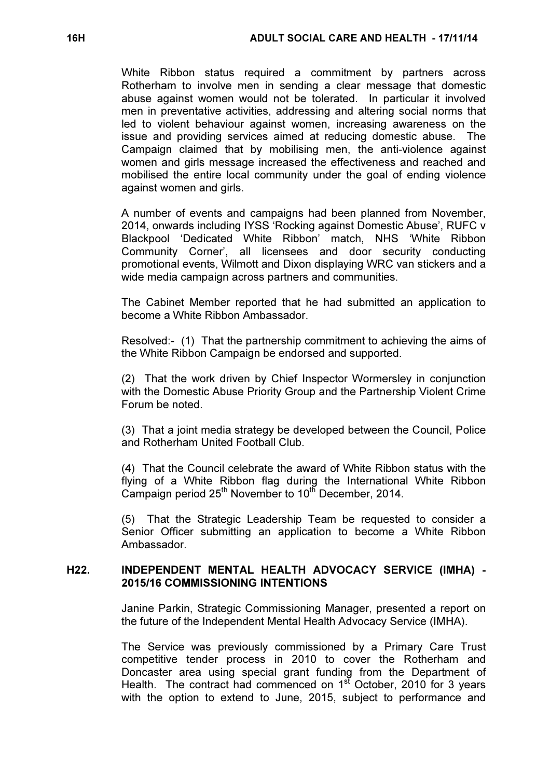White Ribbon status required a commitment by partners across Rotherham to involve men in sending a clear message that domestic abuse against women would not be tolerated. In particular it involved men in preventative activities, addressing and altering social norms that led to violent behaviour against women, increasing awareness on the issue and providing services aimed at reducing domestic abuse. The Campaign claimed that by mobilising men, the anti-violence against women and girls message increased the effectiveness and reached and mobilised the entire local community under the goal of ending violence against women and girls.

A number of events and campaigns had been planned from November, 2014, onwards including IYSS 'Rocking against Domestic Abuse', RUFC v Blackpool 'Dedicated White Ribbon' match, NHS 'White Ribbon Community Corner', all licensees and door security conducting promotional events, Wilmott and Dixon displaying WRC van stickers and a wide media campaign across partners and communities.

The Cabinet Member reported that he had submitted an application to become a White Ribbon Ambassador.

Resolved:- (1) That the partnership commitment to achieving the aims of the White Ribbon Campaign be endorsed and supported.

(2) That the work driven by Chief Inspector Wormersley in conjunction with the Domestic Abuse Priority Group and the Partnership Violent Crime Forum be noted.

(3) That a joint media strategy be developed between the Council, Police and Rotherham United Football Club.

(4) That the Council celebrate the award of White Ribbon status with the flying of a White Ribbon flag during the International White Ribbon Campaign period  $25<sup>th</sup>$  November to  $10<sup>th</sup>$  December, 2014.

(5) That the Strategic Leadership Team be requested to consider a Senior Officer submitting an application to become a White Ribbon Ambassador.

## H22. INDEPENDENT MENTAL HEALTH ADVOCACY SERVICE (IMHA) - 2015/16 COMMISSIONING INTENTIONS

 Janine Parkin, Strategic Commissioning Manager, presented a report on the future of the Independent Mental Health Advocacy Service (IMHA).

The Service was previously commissioned by a Primary Care Trust competitive tender process in 2010 to cover the Rotherham and Doncaster area using special grant funding from the Department of Health. The contract had commenced on 1<sup>st</sup> October, 2010 for 3 years with the option to extend to June, 2015, subject to performance and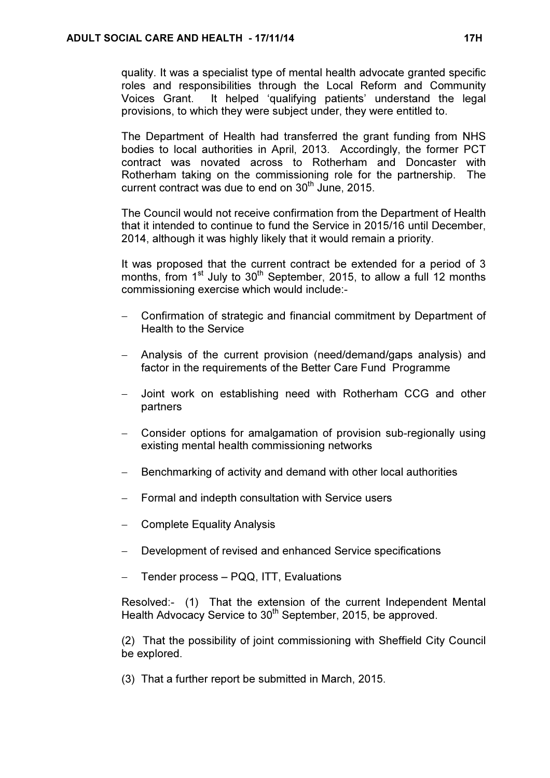quality. It was a specialist type of mental health advocate granted specific roles and responsibilities through the Local Reform and Community Voices Grant. It helped 'qualifying patients' understand the legal provisions, to which they were subject under, they were entitled to.

The Department of Health had transferred the grant funding from NHS bodies to local authorities in April, 2013. Accordingly, the former PCT contract was novated across to Rotherham and Doncaster with Rotherham taking on the commissioning role for the partnership. The current contract was due to end on  $30<sup>th</sup>$  June, 2015.

The Council would not receive confirmation from the Department of Health that it intended to continue to fund the Service in 2015/16 until December, 2014, although it was highly likely that it would remain a priority.

It was proposed that the current contract be extended for a period of 3 months, from 1<sup>st</sup> July to 30<sup>th</sup> September, 2015, to allow a full 12 months commissioning exercise which would include:-

- − Confirmation of strategic and financial commitment by Department of Health to the Service
- − Analysis of the current provision (need/demand/gaps analysis) and factor in the requirements of the Better Care Fund Programme
- − Joint work on establishing need with Rotherham CCG and other partners
- − Consider options for amalgamation of provision sub-regionally using existing mental health commissioning networks
- Benchmarking of activity and demand with other local authorities
- Formal and indepth consultation with Service users
- − Complete Equality Analysis
- Development of revised and enhanced Service specifications
- − Tender process PQQ, ITT, Evaluations

Resolved:- (1) That the extension of the current Independent Mental Health Advocacy Service to 30<sup>th</sup> September, 2015, be approved.

(2) That the possibility of joint commissioning with Sheffield City Council be explored.

(3) That a further report be submitted in March, 2015.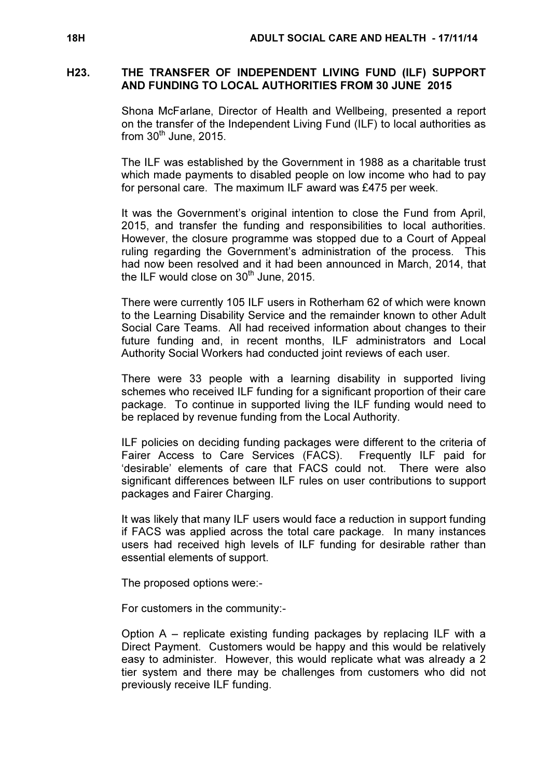### H23. THE TRANSFER OF INDEPENDENT LIVING FUND (ILF) SUPPORT AND FUNDING TO LOCAL AUTHORITIES FROM 30 JUNE 2015

 Shona McFarlane, Director of Health and Wellbeing, presented a report on the transfer of the Independent Living Fund (ILF) to local authorities as from  $30<sup>th</sup>$  June, 2015.

The ILF was established by the Government in 1988 as a charitable trust which made payments to disabled people on low income who had to pay for personal care. The maximum ILF award was £475 per week.

It was the Government's original intention to close the Fund from April, 2015, and transfer the funding and responsibilities to local authorities. However, the closure programme was stopped due to a Court of Appeal ruling regarding the Government's administration of the process. This had now been resolved and it had been announced in March, 2014, that the ILF would close on  $30<sup>th</sup>$  June, 2015.

There were currently 105 ILF users in Rotherham 62 of which were known to the Learning Disability Service and the remainder known to other Adult Social Care Teams. All had received information about changes to their future funding and, in recent months, ILF administrators and Local Authority Social Workers had conducted joint reviews of each user.

There were 33 people with a learning disability in supported living schemes who received ILF funding for a significant proportion of their care package. To continue in supported living the ILF funding would need to be replaced by revenue funding from the Local Authority.

ILF policies on deciding funding packages were different to the criteria of Fairer Access to Care Services (FACS). Frequently ILF paid for 'desirable' elements of care that FACS could not. There were also significant differences between ILF rules on user contributions to support packages and Fairer Charging.

It was likely that many ILF users would face a reduction in support funding if FACS was applied across the total care package. In many instances users had received high levels of ILF funding for desirable rather than essential elements of support.

The proposed options were:-

For customers in the community:-

Option A – replicate existing funding packages by replacing ILF with a Direct Payment. Customers would be happy and this would be relatively easy to administer. However, this would replicate what was already a 2 tier system and there may be challenges from customers who did not previously receive ILF funding.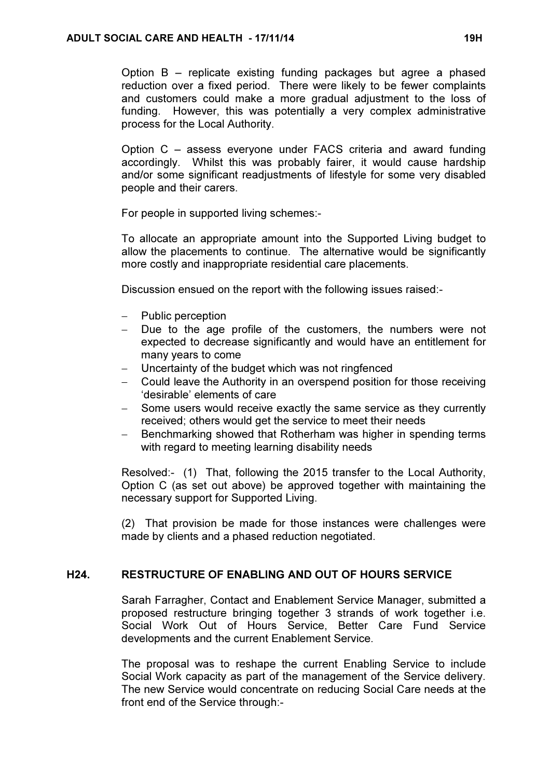Option B – replicate existing funding packages but agree a phased reduction over a fixed period. There were likely to be fewer complaints and customers could make a more gradual adjustment to the loss of funding. However, this was potentially a very complex administrative process for the Local Authority.

Option C – assess everyone under FACS criteria and award funding accordingly. Whilst this was probably fairer, it would cause hardship and/or some significant readjustments of lifestyle for some very disabled people and their carers.

For people in supported living schemes:-

To allocate an appropriate amount into the Supported Living budget to allow the placements to continue. The alternative would be significantly more costly and inappropriate residential care placements.

Discussion ensued on the report with the following issues raised:-

- − Public perception
- − Due to the age profile of the customers, the numbers were not expected to decrease significantly and would have an entitlement for many years to come
- Uncertainty of the budget which was not ringfenced
- − Could leave the Authority in an overspend position for those receiving 'desirable' elements of care
- − Some users would receive exactly the same service as they currently received; others would get the service to meet their needs
- Benchmarking showed that Rotherham was higher in spending terms with regard to meeting learning disability needs

Resolved:- (1) That, following the 2015 transfer to the Local Authority, Option C (as set out above) be approved together with maintaining the necessary support for Supported Living.

(2) That provision be made for those instances were challenges were made by clients and a phased reduction negotiated.

## H24. RESTRUCTURE OF ENABLING AND OUT OF HOURS SERVICE

 Sarah Farragher, Contact and Enablement Service Manager, submitted a proposed restructure bringing together 3 strands of work together i.e. Social Work Out of Hours Service, Better Care Fund Service developments and the current Enablement Service.

The proposal was to reshape the current Enabling Service to include Social Work capacity as part of the management of the Service delivery. The new Service would concentrate on reducing Social Care needs at the front end of the Service through:-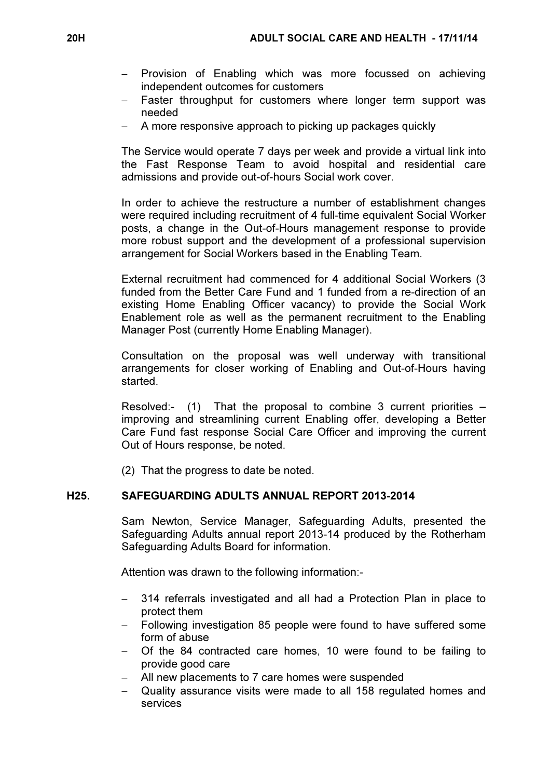- − Provision of Enabling which was more focussed on achieving independent outcomes for customers
- − Faster throughput for customers where longer term support was needed
- A more responsive approach to picking up packages quickly

The Service would operate 7 days per week and provide a virtual link into the Fast Response Team to avoid hospital and residential care admissions and provide out-of-hours Social work cover.

In order to achieve the restructure a number of establishment changes were required including recruitment of 4 full-time equivalent Social Worker posts, a change in the Out-of-Hours management response to provide more robust support and the development of a professional supervision arrangement for Social Workers based in the Enabling Team.

External recruitment had commenced for 4 additional Social Workers (3 funded from the Better Care Fund and 1 funded from a re-direction of an existing Home Enabling Officer vacancy) to provide the Social Work Enablement role as well as the permanent recruitment to the Enabling Manager Post (currently Home Enabling Manager).

Consultation on the proposal was well underway with transitional arrangements for closer working of Enabling and Out-of-Hours having started.

Resolved:- (1) That the proposal to combine 3 current priorities – improving and streamlining current Enabling offer, developing a Better Care Fund fast response Social Care Officer and improving the current Out of Hours response, be noted.

(2) That the progress to date be noted.

# H25. SAFEGUARDING ADULTS ANNUAL REPORT 2013-2014

 Sam Newton, Service Manager, Safeguarding Adults, presented the Safeguarding Adults annual report 2013-14 produced by the Rotherham Safeguarding Adults Board for information.

Attention was drawn to the following information:-

- 314 referrals investigated and all had a Protection Plan in place to protect them
- − Following investigation 85 people were found to have suffered some form of abuse
- − Of the 84 contracted care homes, 10 were found to be failing to provide good care
- − All new placements to 7 care homes were suspended
- Quality assurance visits were made to all 158 regulated homes and services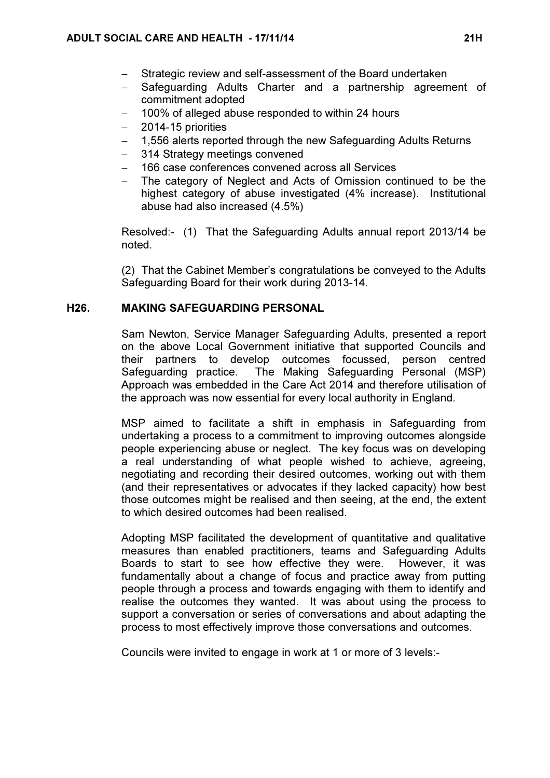- Strategic review and self-assessment of the Board undertaken
- Safeguarding Adults Charter and a partnership agreement of commitment adopted
- − 100% of alleged abuse responded to within 24 hours
- − 2014-15 priorities
- − 1,556 alerts reported through the new Safeguarding Adults Returns
- 314 Strategy meetings convened
- − 166 case conferences convened across all Services
- The category of Neglect and Acts of Omission continued to be the highest category of abuse investigated (4% increase). Institutional abuse had also increased (4.5%)

Resolved:- (1) That the Safeguarding Adults annual report 2013/14 be noted.

(2) That the Cabinet Member's congratulations be conveyed to the Adults Safeguarding Board for their work during 2013-14.

## H26. MAKING SAFEGUARDING PERSONAL

 Sam Newton, Service Manager Safeguarding Adults, presented a report on the above Local Government initiative that supported Councils and their partners to develop outcomes focussed, person centred Safeguarding practice. The Making Safeguarding Personal (MSP) Approach was embedded in the Care Act 2014 and therefore utilisation of the approach was now essential for every local authority in England.

MSP aimed to facilitate a shift in emphasis in Safeguarding from undertaking a process to a commitment to improving outcomes alongside people experiencing abuse or neglect. The key focus was on developing a real understanding of what people wished to achieve, agreeing, negotiating and recording their desired outcomes, working out with them (and their representatives or advocates if they lacked capacity) how best those outcomes might be realised and then seeing, at the end, the extent to which desired outcomes had been realised.

Adopting MSP facilitated the development of quantitative and qualitative measures than enabled practitioners, teams and Safeguarding Adults Boards to start to see how effective they were. However, it was fundamentally about a change of focus and practice away from putting people through a process and towards engaging with them to identify and realise the outcomes they wanted. It was about using the process to support a conversation or series of conversations and about adapting the process to most effectively improve those conversations and outcomes.

Councils were invited to engage in work at 1 or more of 3 levels:-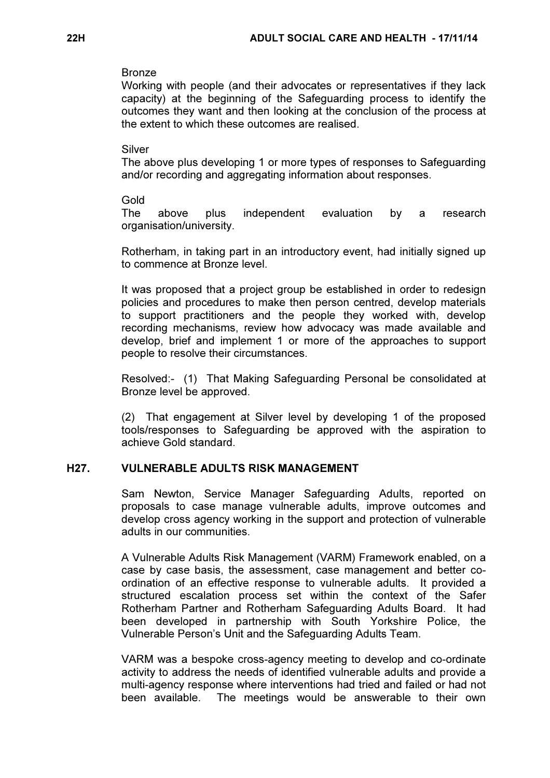#### Bronze

Working with people (and their advocates or representatives if they lack capacity) at the beginning of the Safeguarding process to identify the outcomes they want and then looking at the conclusion of the process at the extent to which these outcomes are realised.

## Silver

The above plus developing 1 or more types of responses to Safeguarding and/or recording and aggregating information about responses.

#### Gold

The above plus independent evaluation by a research organisation/university.

Rotherham, in taking part in an introductory event, had initially signed up to commence at Bronze level.

It was proposed that a project group be established in order to redesign policies and procedures to make then person centred, develop materials to support practitioners and the people they worked with, develop recording mechanisms, review how advocacy was made available and develop, brief and implement 1 or more of the approaches to support people to resolve their circumstances.

Resolved:- (1) That Making Safeguarding Personal be consolidated at Bronze level be approved.

(2) That engagement at Silver level by developing 1 of the proposed tools/responses to Safeguarding be approved with the aspiration to achieve Gold standard.

### H27. VULNERABLE ADULTS RISK MANAGEMENT

 Sam Newton, Service Manager Safeguarding Adults, reported on proposals to case manage vulnerable adults, improve outcomes and develop cross agency working in the support and protection of vulnerable adults in our communities.

A Vulnerable Adults Risk Management (VARM) Framework enabled, on a case by case basis, the assessment, case management and better coordination of an effective response to vulnerable adults. It provided a structured escalation process set within the context of the Safer Rotherham Partner and Rotherham Safeguarding Adults Board. It had been developed in partnership with South Yorkshire Police, the Vulnerable Person's Unit and the Safeguarding Adults Team.

VARM was a bespoke cross-agency meeting to develop and co-ordinate activity to address the needs of identified vulnerable adults and provide a multi-agency response where interventions had tried and failed or had not been available. The meetings would be answerable to their own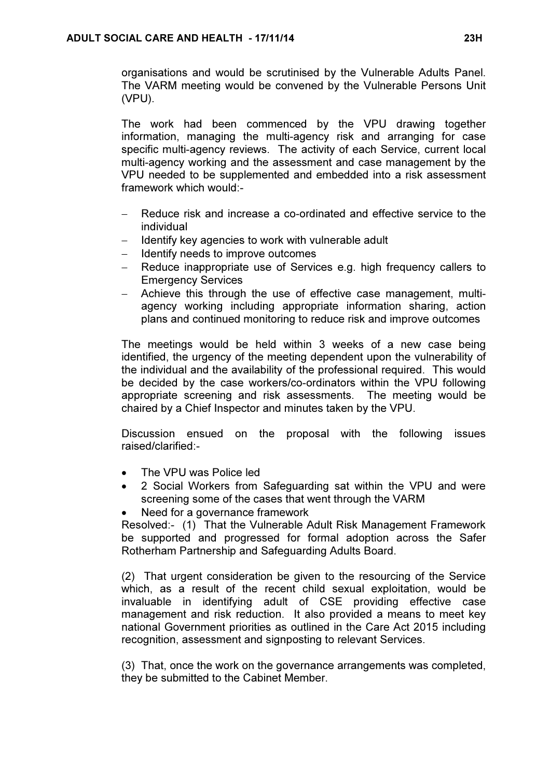organisations and would be scrutinised by the Vulnerable Adults Panel. The VARM meeting would be convened by the Vulnerable Persons Unit (VPU).

The work had been commenced by the VPU drawing together information, managing the multi-agency risk and arranging for case specific multi-agency reviews. The activity of each Service, current local multi-agency working and the assessment and case management by the VPU needed to be supplemented and embedded into a risk assessment framework which would:-

- Reduce risk and increase a co-ordinated and effective service to the individual
- − Identify key agencies to work with vulnerable adult
- − Identify needs to improve outcomes
- Reduce inappropriate use of Services e.g. high frequency callers to Emergency Services
- − Achieve this through the use of effective case management, multiagency working including appropriate information sharing, action plans and continued monitoring to reduce risk and improve outcomes

The meetings would be held within 3 weeks of a new case being identified, the urgency of the meeting dependent upon the vulnerability of the individual and the availability of the professional required. This would be decided by the case workers/co-ordinators within the VPU following appropriate screening and risk assessments. The meeting would be chaired by a Chief Inspector and minutes taken by the VPU.

Discussion ensued on the proposal with the following issues raised/clarified:-

- The VPU was Police led
- 2 Social Workers from Safeguarding sat within the VPU and were screening some of the cases that went through the VARM
- Need for a governance framework

Resolved:- (1) That the Vulnerable Adult Risk Management Framework be supported and progressed for formal adoption across the Safer Rotherham Partnership and Safeguarding Adults Board.

(2) That urgent consideration be given to the resourcing of the Service which, as a result of the recent child sexual exploitation, would be invaluable in identifying adult of CSE providing effective case management and risk reduction. It also provided a means to meet key national Government priorities as outlined in the Care Act 2015 including recognition, assessment and signposting to relevant Services.

(3) That, once the work on the governance arrangements was completed, they be submitted to the Cabinet Member.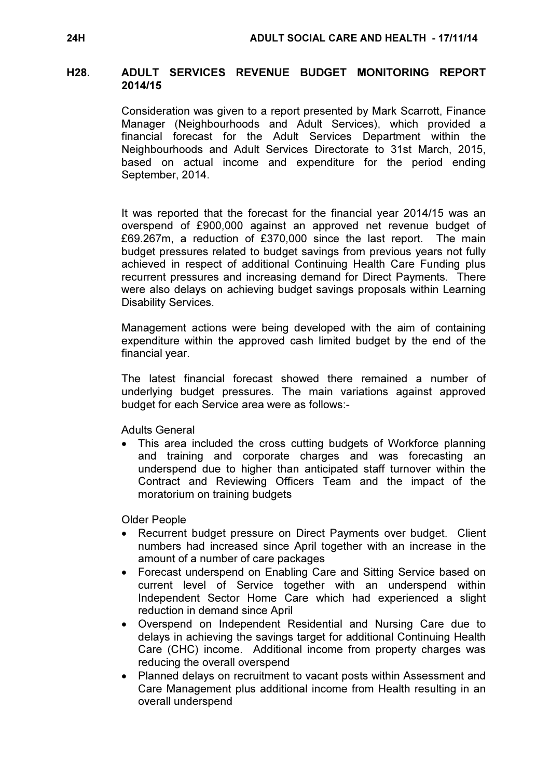### H28. ADULT SERVICES REVENUE BUDGET MONITORING REPORT 2014/15

 Consideration was given to a report presented by Mark Scarrott, Finance Manager (Neighbourhoods and Adult Services), which provided a financial forecast for the Adult Services Department within the Neighbourhoods and Adult Services Directorate to 31st March, 2015, based on actual income and expenditure for the period ending September, 2014.

It was reported that the forecast for the financial year 2014/15 was an overspend of £900,000 against an approved net revenue budget of £69.267m, a reduction of £370,000 since the last report. The main budget pressures related to budget savings from previous years not fully achieved in respect of additional Continuing Health Care Funding plus recurrent pressures and increasing demand for Direct Payments. There were also delays on achieving budget savings proposals within Learning Disability Services.

Management actions were being developed with the aim of containing expenditure within the approved cash limited budget by the end of the financial year.

The latest financial forecast showed there remained a number of underlying budget pressures. The main variations against approved budget for each Service area were as follows:-

Adults General

This area included the cross cutting budgets of Workforce planning and training and corporate charges and was forecasting an underspend due to higher than anticipated staff turnover within the Contract and Reviewing Officers Team and the impact of the moratorium on training budgets

Older People

- Recurrent budget pressure on Direct Payments over budget. Client numbers had increased since April together with an increase in the amount of a number of care packages
- Forecast underspend on Enabling Care and Sitting Service based on current level of Service together with an underspend within Independent Sector Home Care which had experienced a slight reduction in demand since April
- Overspend on Independent Residential and Nursing Care due to delays in achieving the savings target for additional Continuing Health Care (CHC) income. Additional income from property charges was reducing the overall overspend
- Planned delays on recruitment to vacant posts within Assessment and Care Management plus additional income from Health resulting in an overall underspend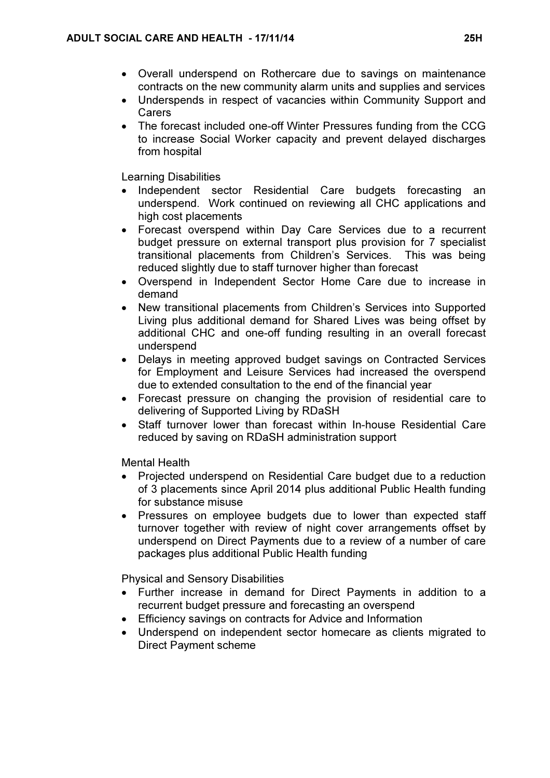- Overall underspend on Rothercare due to savings on maintenance contracts on the new community alarm units and supplies and services
- Underspends in respect of vacancies within Community Support and Carers
- The forecast included one-off Winter Pressures funding from the CCG to increase Social Worker capacity and prevent delayed discharges from hospital

Learning Disabilities

- Independent sector Residential Care budgets forecasting an underspend. Work continued on reviewing all CHC applications and high cost placements
- Forecast overspend within Day Care Services due to a recurrent budget pressure on external transport plus provision for 7 specialist transitional placements from Children's Services. This was being reduced slightly due to staff turnover higher than forecast
- Overspend in Independent Sector Home Care due to increase in demand
- New transitional placements from Children's Services into Supported Living plus additional demand for Shared Lives was being offset by additional CHC and one-off funding resulting in an overall forecast underspend
- Delays in meeting approved budget savings on Contracted Services for Employment and Leisure Services had increased the overspend due to extended consultation to the end of the financial year
- Forecast pressure on changing the provision of residential care to delivering of Supported Living by RDaSH
- Staff turnover lower than forecast within In-house Residential Care reduced by saving on RDaSH administration support

Mental Health

- Projected underspend on Residential Care budget due to a reduction of 3 placements since April 2014 plus additional Public Health funding for substance misuse
- Pressures on employee budgets due to lower than expected staff turnover together with review of night cover arrangements offset by underspend on Direct Payments due to a review of a number of care packages plus additional Public Health funding

Physical and Sensory Disabilities

- Further increase in demand for Direct Payments in addition to a recurrent budget pressure and forecasting an overspend
- Efficiency savings on contracts for Advice and Information
- Underspend on independent sector homecare as clients migrated to Direct Payment scheme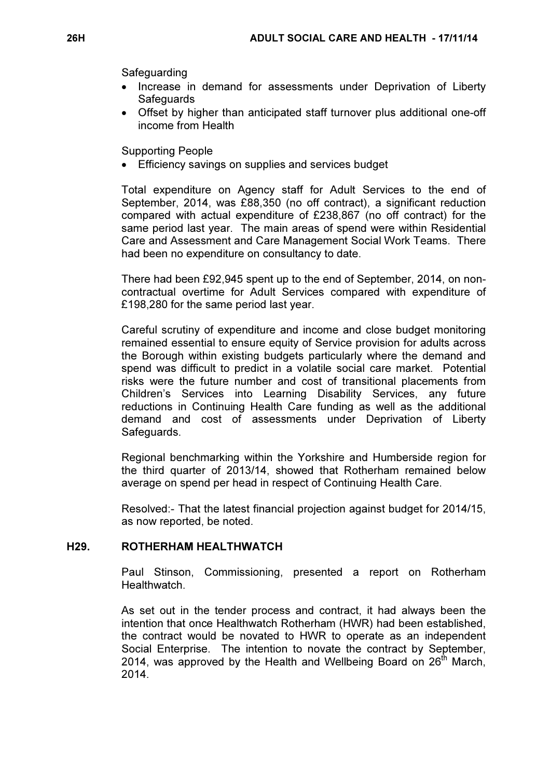Safeguarding

- Increase in demand for assessments under Deprivation of Liberty **Safeguards**
- Offset by higher than anticipated staff turnover plus additional one-off income from Health

Supporting People

Efficiency savings on supplies and services budget

Total expenditure on Agency staff for Adult Services to the end of September, 2014, was £88,350 (no off contract), a significant reduction compared with actual expenditure of £238,867 (no off contract) for the same period last year. The main areas of spend were within Residential Care and Assessment and Care Management Social Work Teams. There had been no expenditure on consultancy to date.

There had been £92,945 spent up to the end of September, 2014, on noncontractual overtime for Adult Services compared with expenditure of £198,280 for the same period last year.

Careful scrutiny of expenditure and income and close budget monitoring remained essential to ensure equity of Service provision for adults across the Borough within existing budgets particularly where the demand and spend was difficult to predict in a volatile social care market. Potential risks were the future number and cost of transitional placements from Children's Services into Learning Disability Services, any future reductions in Continuing Health Care funding as well as the additional demand and cost of assessments under Deprivation of Liberty Safeguards.

Regional benchmarking within the Yorkshire and Humberside region for the third quarter of 2013/14, showed that Rotherham remained below average on spend per head in respect of Continuing Health Care.

Resolved:- That the latest financial projection against budget for 2014/15, as now reported, be noted.

## H29. ROTHERHAM HEALTHWATCH

 Paul Stinson, Commissioning, presented a report on Rotherham Healthwatch.

As set out in the tender process and contract, it had always been the intention that once Healthwatch Rotherham (HWR) had been established, the contract would be novated to HWR to operate as an independent Social Enterprise. The intention to novate the contract by September, 2014, was approved by the Health and Wellbeing Board on  $26<sup>th</sup>$  March, 2014.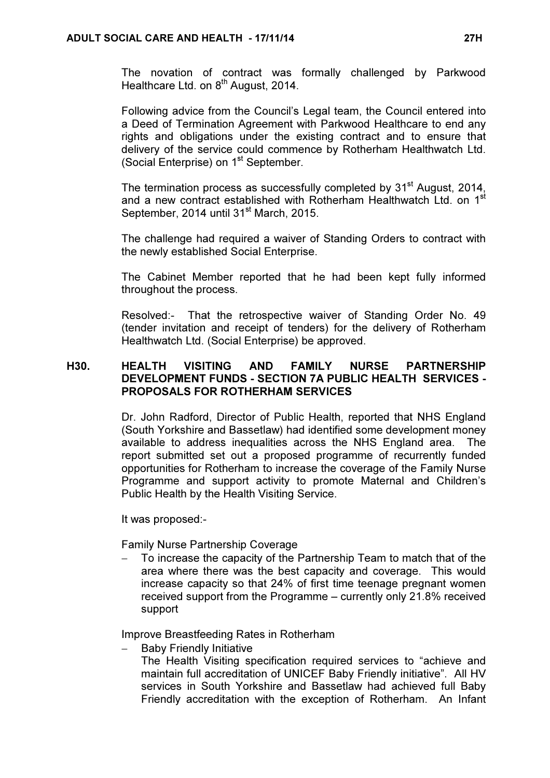The novation of contract was formally challenged by Parkwood Healthcare Ltd. on 8<sup>th</sup> August, 2014.

Following advice from the Council's Legal team, the Council entered into a Deed of Termination Agreement with Parkwood Healthcare to end any rights and obligations under the existing contract and to ensure that delivery of the service could commence by Rotherham Healthwatch Ltd. (Social Enterprise) on 1<sup>st</sup> September.

The termination process as successfully completed by 31<sup>st</sup> August, 2014, and a new contract established with Rotherham Healthwatch Ltd. on 1<sup>st</sup> September, 2014 until 31<sup>st</sup> March, 2015.

The challenge had required a waiver of Standing Orders to contract with the newly established Social Enterprise.

The Cabinet Member reported that he had been kept fully informed throughout the process.

Resolved:- That the retrospective waiver of Standing Order No. 49 (tender invitation and receipt of tenders) for the delivery of Rotherham Healthwatch Ltd. (Social Enterprise) be approved.

## H30. HEALTH VISITING AND FAMILY NURSE PARTNERSHIP DEVELOPMENT FUNDS - SECTION 7A PUBLIC HEALTH SERVICES - PROPOSALS FOR ROTHERHAM SERVICES

 Dr. John Radford, Director of Public Health, reported that NHS England (South Yorkshire and Bassetlaw) had identified some development money available to address inequalities across the NHS England area. The report submitted set out a proposed programme of recurrently funded opportunities for Rotherham to increase the coverage of the Family Nurse Programme and support activity to promote Maternal and Children's Public Health by the Health Visiting Service.

It was proposed:-

Family Nurse Partnership Coverage

To increase the capacity of the Partnership Team to match that of the area where there was the best capacity and coverage. This would increase capacity so that 24% of first time teenage pregnant women received support from the Programme – currently only 21.8% received support

Improve Breastfeeding Rates in Rotherham

Baby Friendly Initiative

The Health Visiting specification required services to "achieve and maintain full accreditation of UNICEF Baby Friendly initiative". All HV services in South Yorkshire and Bassetlaw had achieved full Baby Friendly accreditation with the exception of Rotherham. An Infant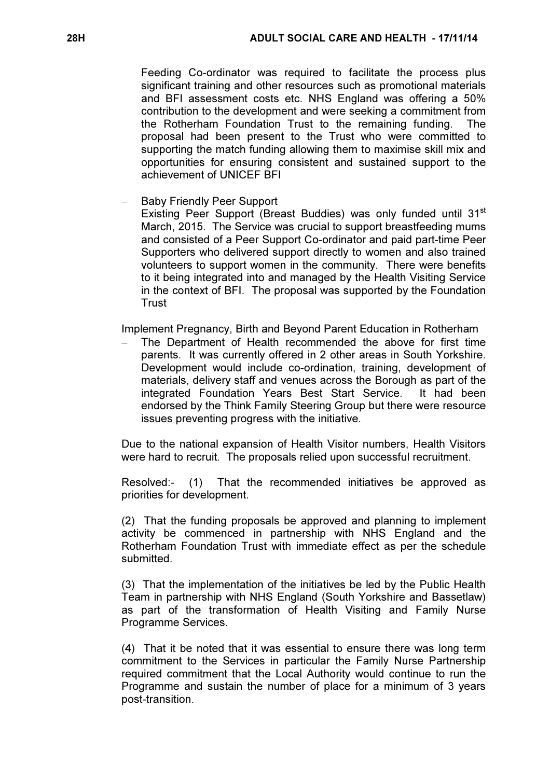Feeding Co-ordinator was required to facilitate the process plus significant training and other resources such as promotional materials and BFI assessment costs etc. NHS England was offering a 50% contribution to the development and were seeking a commitment from the Rotherham Foundation Trust to the remaining funding. The proposal had been present to the Trust who were committed to supporting the match funding allowing them to maximise skill mix and opportunities for ensuring consistent and sustained support to the achievement of UNICEF BFI

Baby Friendly Peer Support

Existing Peer Support (Breast Buddies) was only funded until 31<sup>st</sup> March, 2015. The Service was crucial to support breastfeeding mums and consisted of a Peer Support Co-ordinator and paid part-time Peer Supporters who delivered support directly to women and also trained volunteers to support women in the community. There were benefits to it being integrated into and managed by the Health Visiting Service in the context of BFI. The proposal was supported by the Foundation **Trust** 

Implement Pregnancy, Birth and Beyond Parent Education in Rotherham

The Department of Health recommended the above for first time parents. It was currently offered in 2 other areas in South Yorkshire. Development would include co-ordination, training, development of materials, delivery staff and venues across the Borough as part of the integrated Foundation Years Best Start Service. It had been endorsed by the Think Family Steering Group but there were resource issues preventing progress with the initiative.

Due to the national expansion of Health Visitor numbers, Health Visitors were hard to recruit. The proposals relied upon successful recruitment.

Resolved:- (1) That the recommended initiatives be approved as priorities for development.

(2) That the funding proposals be approved and planning to implement activity be commenced in partnership with NHS England and the Rotherham Foundation Trust with immediate effect as per the schedule submitted.

(3) That the implementation of the initiatives be led by the Public Health Team in partnership with NHS England (South Yorkshire and Bassetlaw) as part of the transformation of Health Visiting and Family Nurse Programme Services.

(4) That it be noted that it was essential to ensure there was long term commitment to the Services in particular the Family Nurse Partnership required commitment that the Local Authority would continue to run the Programme and sustain the number of place for a minimum of 3 years post-transition.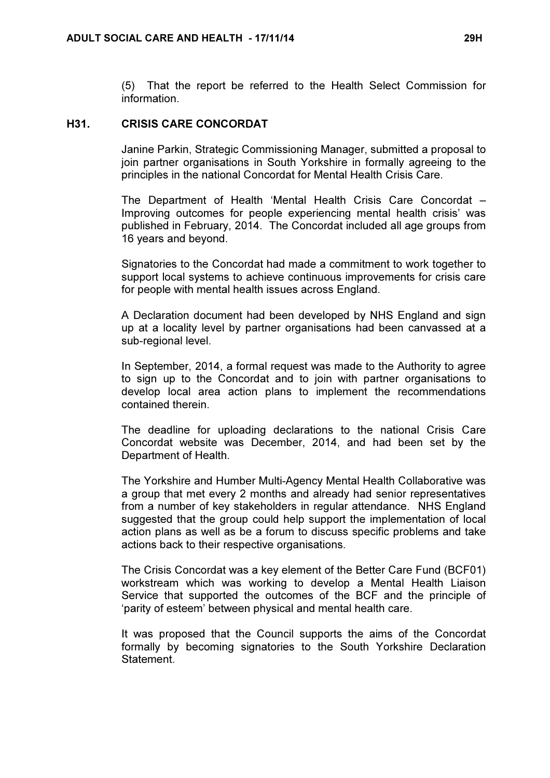(5) That the report be referred to the Health Select Commission for information.

#### H31. CRISIS CARE CONCORDAT

 Janine Parkin, Strategic Commissioning Manager, submitted a proposal to join partner organisations in South Yorkshire in formally agreeing to the principles in the national Concordat for Mental Health Crisis Care.

The Department of Health 'Mental Health Crisis Care Concordat – Improving outcomes for people experiencing mental health crisis' was published in February, 2014. The Concordat included all age groups from 16 years and beyond.

Signatories to the Concordat had made a commitment to work together to support local systems to achieve continuous improvements for crisis care for people with mental health issues across England.

A Declaration document had been developed by NHS England and sign up at a locality level by partner organisations had been canvassed at a sub-regional level.

In September, 2014, a formal request was made to the Authority to agree to sign up to the Concordat and to join with partner organisations to develop local area action plans to implement the recommendations contained therein.

The deadline for uploading declarations to the national Crisis Care Concordat website was December, 2014, and had been set by the Department of Health.

The Yorkshire and Humber Multi-Agency Mental Health Collaborative was a group that met every 2 months and already had senior representatives from a number of key stakeholders in regular attendance. NHS England suggested that the group could help support the implementation of local action plans as well as be a forum to discuss specific problems and take actions back to their respective organisations.

The Crisis Concordat was a key element of the Better Care Fund (BCF01) workstream which was working to develop a Mental Health Liaison Service that supported the outcomes of the BCF and the principle of 'parity of esteem' between physical and mental health care.

It was proposed that the Council supports the aims of the Concordat formally by becoming signatories to the South Yorkshire Declaration **Statement**